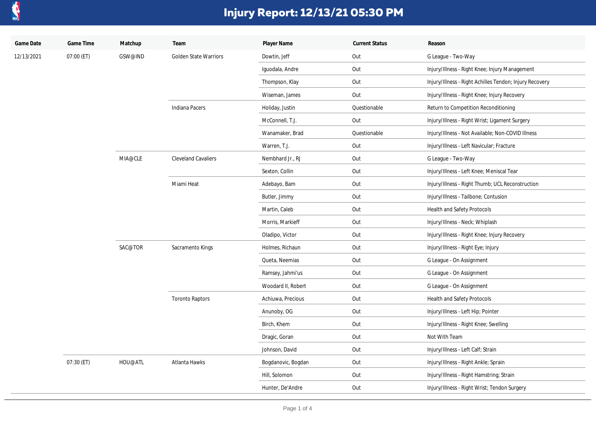

| Game Date  | Game Time  | Matchup | Team                         | Player Name        | <b>Current Status</b> | Reason                                                  |
|------------|------------|---------|------------------------------|--------------------|-----------------------|---------------------------------------------------------|
| 12/13/2021 | 07:00 (ET) | GSW@IND | <b>Golden State Warriors</b> | Dowtin, Jeff       | Out                   | G League - Two-Way                                      |
|            |            |         |                              | Iguodala, Andre    | Out                   | Injury/Illness - Right Knee; Injury Management          |
|            |            |         |                              | Thompson, Klay     | Out                   | Injury/Illness - Right Achilles Tendon; Injury Recovery |
|            |            |         |                              | Wiseman, James     | Out                   | Injury/Illness - Right Knee; Injury Recovery            |
|            |            |         | Indiana Pacers               | Holiday, Justin    | Questionable          | Return to Competition Reconditioning                    |
|            |            |         |                              | McConnell, T.J.    | Out                   | Injury/Illness - Right Wrist; Ligament Surgery          |
|            |            |         |                              | Wanamaker, Brad    | Questionable          | Injury/Illness - Not Available; Non-COVID Illness       |
|            |            |         |                              | Warren, T.J.       | Out                   | Injury/Illness - Left Navicular; Fracture               |
|            |            | MIA@CLE | <b>Cleveland Cavaliers</b>   | Nembhard Jr., RJ   | Out                   | G League - Two-Way                                      |
|            |            |         |                              | Sexton, Collin     | Out                   | Injury/Illness - Left Knee; Meniscal Tear               |
|            |            |         | Miami Heat                   | Adebayo, Bam       | Out                   | Injury/Illness - Right Thumb; UCL Reconstruction        |
|            |            |         |                              | Butler, Jimmy      | Out                   | Injury/Illness - Tailbone; Contusion                    |
|            |            |         |                              | Martin, Caleb      | Out                   | Health and Safety Protocols                             |
|            |            |         |                              | Morris, Markieff   | Out                   | Injury/Illness - Neck; Whiplash                         |
|            |            |         |                              | Oladipo, Victor    | Out                   | Injury/Illness - Right Knee; Injury Recovery            |
|            |            | SAC@TOR | Sacramento Kings             | Holmes, Richaun    | Out                   | Injury/Illness - Right Eye; Injury                      |
|            |            |         |                              | Queta, Neemias     | Out                   | G League - On Assignment                                |
|            |            |         |                              | Ramsey, Jahmi'us   | Out                   | G League - On Assignment                                |
|            |            |         |                              | Woodard II, Robert | Out                   | G League - On Assignment                                |
|            |            |         | <b>Toronto Raptors</b>       | Achiuwa, Precious  | Out                   | Health and Safety Protocols                             |
|            |            |         |                              | Anunoby, OG        | Out                   | Injury/Illness - Left Hip; Pointer                      |
|            |            |         |                              | Birch, Khem        | Out                   | Injury/Illness - Right Knee; Swelling                   |
|            |            |         |                              | Dragic, Goran      | Out                   | Not With Team                                           |
|            |            |         |                              | Johnson, David     | Out                   | Injury/Illness - Left Calf; Strain                      |
|            | 07:30 (ET) | HOU@ATL | Atlanta Hawks                | Bogdanovic, Bogdan | Out                   | Injury/Illness - Right Ankle; Sprain                    |
|            |            |         |                              | Hill, Solomon      | Out                   | Injury/Illness - Right Hamstring; Strain                |
|            |            |         |                              | Hunter, De'Andre   | Out                   | Injury/Illness - Right Wrist; Tendon Surgery            |
|            |            |         |                              |                    |                       |                                                         |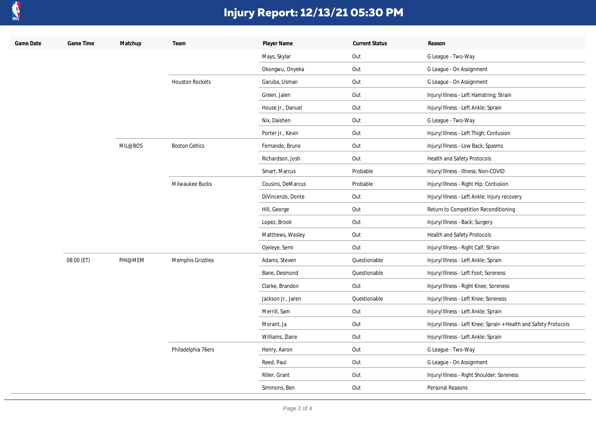

| Game Date | Game Time  | Matchup | Team                   | Player Name        | <b>Current Status</b> | Reason                                                           |
|-----------|------------|---------|------------------------|--------------------|-----------------------|------------------------------------------------------------------|
|           |            |         |                        | Mays, Skylar       | Out                   | G League - Two-Way                                               |
|           |            |         |                        | Okongwu, Onyeka    | Out                   | G League - On Assignment                                         |
|           |            |         | <b>Houston Rockets</b> | Garuba, Usman      | Out                   | G League - On Assignment                                         |
|           |            |         |                        | Green, Jalen       | Out                   | Injury/Illness - Left Hamstring; Strain                          |
|           |            |         |                        | House Jr., Danuel  | Out                   | Injury/Illness - Left Ankle; Sprain                              |
|           |            |         |                        | Nix, Daishen       | Out                   | G League - Two-Way                                               |
|           |            |         |                        | Porter Jr., Kevin  | Out                   | Injury/Illness - Left Thigh; Contusion                           |
|           |            | MIL@BOS | <b>Boston Celtics</b>  | Fernando, Bruno    | Out                   | Injury/Illness - Low Back; Spasms                                |
|           |            |         |                        | Richardson, Josh   | Out                   | Health and Safety Protocols                                      |
|           |            |         |                        | Smart, Marcus      | Probable              | Injury/Illness - Illness; Non-COVID                              |
|           |            |         | Milwaukee Bucks        | Cousins, DeMarcus  | Probable              | Injury/Illness - Right Hip; Contusion                            |
|           |            |         |                        | DiVincenzo, Donte  | Out                   | Injury/Illness - Left Ankle; Injury recovery                     |
|           |            |         |                        | Hill, George       | Out                   | Return to Competition Reconditioning                             |
|           |            |         |                        | Lopez, Brook       | Out                   | Injury/Illness - Back; Surgery                                   |
|           |            |         |                        | Matthews, Wesley   | Out                   | Health and Safety Protocols                                      |
|           |            |         |                        | Ojeleye, Semi      | Out                   | Injury/Illness - Right Calf; Strain                              |
|           | 08:00 (ET) | PHI@MEM | Memphis Grizzlies      | Adams, Steven      | Questionable          | Injury/Illness - Left Ankle; Sprain                              |
|           |            |         |                        | Bane, Desmond      | Questionable          | Injury/Illness - Left Foot; Soreness                             |
|           |            |         |                        | Clarke, Brandon    | Out                   | Injury/Illness - Right Knee; Soreness                            |
|           |            |         |                        | Jackson Jr., Jaren | Questionable          | Injury/Illness - Left Knee; Soreness                             |
|           |            |         |                        | Merrill, Sam       | Out                   | Injury/Illness - Left Ankle; Sprain                              |
|           |            |         |                        | Morant, Ja         | Out                   | Injury/Illness - Left Knee; Sprain + Health and Safety Protocols |
|           |            |         |                        | Williams, Ziaire   | Out                   | Injury/Illness - Left Ankle; Sprain                              |
|           |            |         | Philadelphia 76ers     | Henry, Aaron       | Out                   | G League - Two-Way                                               |
|           |            |         |                        | Reed, Paul         | Out                   | G League - On Assignment                                         |
|           |            |         |                        | Riller, Grant      | Out                   | Injury/Illness - Right Shoulder; Soreness                        |
|           |            |         |                        | Simmons, Ben       | Out                   | Personal Reasons                                                 |
|           |            |         |                        |                    |                       |                                                                  |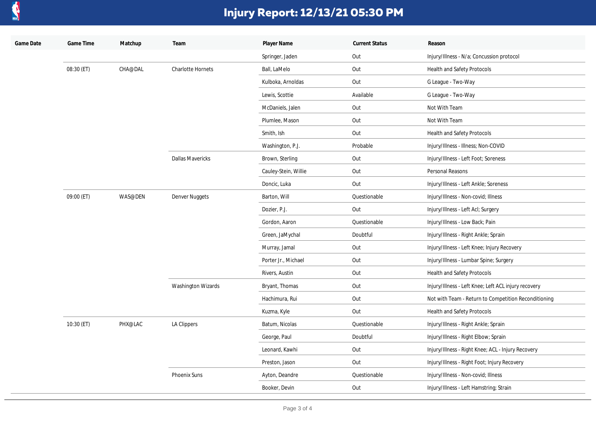

| Game Date | Game Time  | Matchup | Team                      | Player Name          | <b>Current Status</b> | Reason                                               |
|-----------|------------|---------|---------------------------|----------------------|-----------------------|------------------------------------------------------|
|           |            |         |                           | Springer, Jaden      | Out                   | Injury/Illness - N/a; Concussion protocol            |
|           | 08:30 (ET) | CHA@DAL | <b>Charlotte Hornets</b>  | Ball, LaMelo         | Out                   | <b>Health and Safety Protocols</b>                   |
|           |            |         |                           | Kulboka, Arnoldas    | Out                   | G League - Two-Way                                   |
|           |            |         |                           | Lewis, Scottie       | Available             | G League - Two-Way                                   |
|           |            |         |                           | McDaniels, Jalen     | Out                   | Not With Team                                        |
|           |            |         |                           | Plumlee, Mason       | Out                   | Not With Team                                        |
|           |            |         |                           | Smith, Ish           | Out                   | Health and Safety Protocols                          |
|           |            |         |                           | Washington, P.J.     | Probable              | Injury/Illness - Illness; Non-COVID                  |
|           |            |         | <b>Dallas Mavericks</b>   | Brown, Sterling      | Out                   | Injury/Illness - Left Foot; Soreness                 |
|           |            |         |                           | Cauley-Stein, Willie | Out                   | Personal Reasons                                     |
|           |            |         |                           | Doncic, Luka         | Out                   | Injury/Illness - Left Ankle; Soreness                |
|           | 09:00 (ET) | WAS@DEN | Denver Nuggets            | Barton, Will         | Questionable          | Injury/Illness - Non-covid; Illness                  |
|           |            |         |                           | Dozier, P.J.         | Out                   | Injury/Illness - Left Acl; Surgery                   |
|           |            |         |                           | Gordon, Aaron        | Questionable          | Injury/Illness - Low Back; Pain                      |
|           |            |         |                           | Green, JaMychal      | Doubtful              | Injury/Illness - Right Ankle; Sprain                 |
|           |            |         |                           | Murray, Jamal        | Out                   | Injury/Illness - Left Knee; Injury Recovery          |
|           |            |         |                           | Porter Jr., Michael  | Out                   | Injury/Illness - Lumbar Spine; Surgery               |
|           |            |         |                           | Rivers, Austin       | Out                   | Health and Safety Protocols                          |
|           |            |         | <b>Washington Wizards</b> | Bryant, Thomas       | Out                   | Injury/Illness - Left Knee; Left ACL injury recovery |
|           |            |         |                           | Hachimura, Rui       | Out                   | Not with Team - Return to Competition Reconditioning |
|           |            |         |                           | Kuzma, Kyle          | Out                   | Health and Safety Protocols                          |
|           | 10:30 (ET) | PHX@LAC | LA Clippers               | Batum, Nicolas       | Questionable          | Injury/Illness - Right Ankle; Sprain                 |
|           |            |         |                           | George, Paul         | Doubtful              | Injury/Illness - Right Elbow; Sprain                 |
|           |            |         |                           | Leonard, Kawhi       | Out                   | Injury/Illness - Right Knee; ACL - Injury Recovery   |
|           |            |         |                           | Preston, Jason       | Out                   | Injury/Illness - Right Foot; Injury Recovery         |
|           |            |         | Phoenix Suns              | Ayton, Deandre       | Questionable          | Injury/Illness - Non-covid; Illness                  |
|           |            |         |                           | Booker, Devin        | Out                   | Injury/Illness - Left Hamstring; Strain              |
|           |            |         |                           |                      |                       |                                                      |